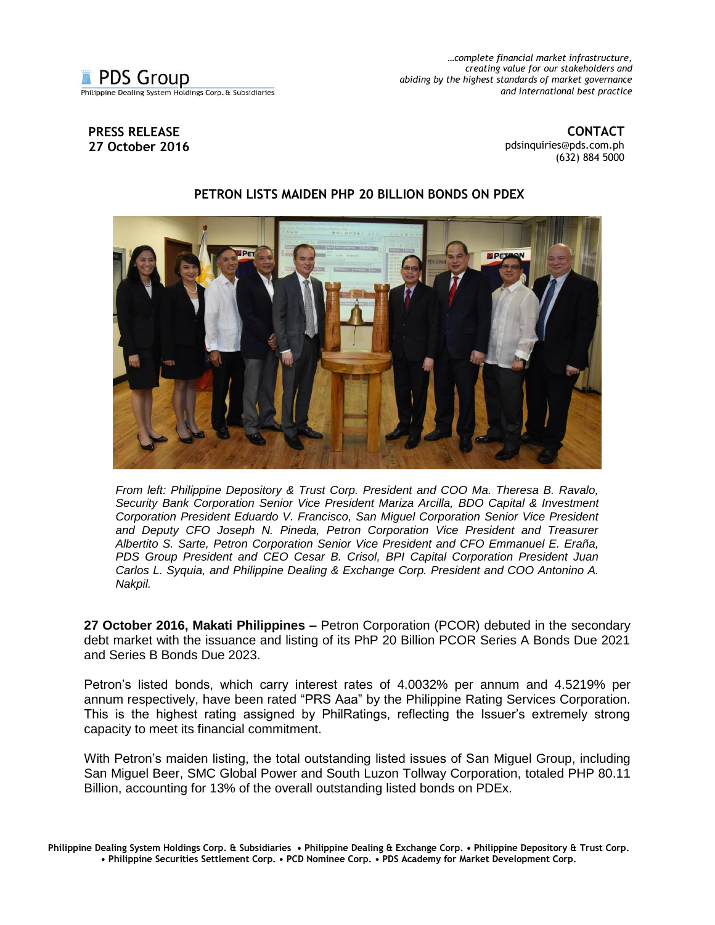

*…complete financial market infrastructure, creating value for our stakeholders and abiding by the highest standards of market governance and international best practice*

## **PRESS RELEASE 27 October 2016**

**CONTACT** [pdsinquiries@pds.com.ph](mailto:pdsinquiries@pds.com.ph) (632) 884 5000

## **PETRON LISTS MAIDEN PHP 20 BILLION BONDS ON PDEX**



*From left: Philippine Depository & Trust Corp. President and COO Ma. Theresa B. Ravalo, Security Bank Corporation Senior Vice President Mariza Arcilla, BDO Capital & Investment Corporation President Eduardo V. Francisco, San Miguel Corporation Senior Vice President and Deputy CFO Joseph N. Pineda, Petron Corporation Vice President and Treasurer Albertito S. Sarte, Petron Corporation Senior Vice President and CFO Emmanuel E. Eraña, PDS Group President and CEO Cesar B. Crisol, BPI Capital Corporation President Juan Carlos L. Syquia, and Philippine Dealing & Exchange Corp. President and COO Antonino A. Nakpil.* 

**27 October 2016, Makati Philippines –** Petron Corporation (PCOR) debuted in the secondary debt market with the issuance and listing of its PhP 20 Billion PCOR Series A Bonds Due 2021 and Series B Bonds Due 2023.

Petron's listed bonds, which carry interest rates of 4.0032% per annum and 4.5219% per annum respectively, have been rated "PRS Aaa" by the Philippine Rating Services Corporation. This is the highest rating assigned by PhilRatings, reflecting the Issuer's extremely strong capacity to meet its financial commitment.

With Petron's maiden listing, the total outstanding listed issues of San Miguel Group, including San Miguel Beer, SMC Global Power and South Luzon Tollway Corporation, totaled PHP 80.11 Billion, accounting for 13% of the overall outstanding listed bonds on PDEx.